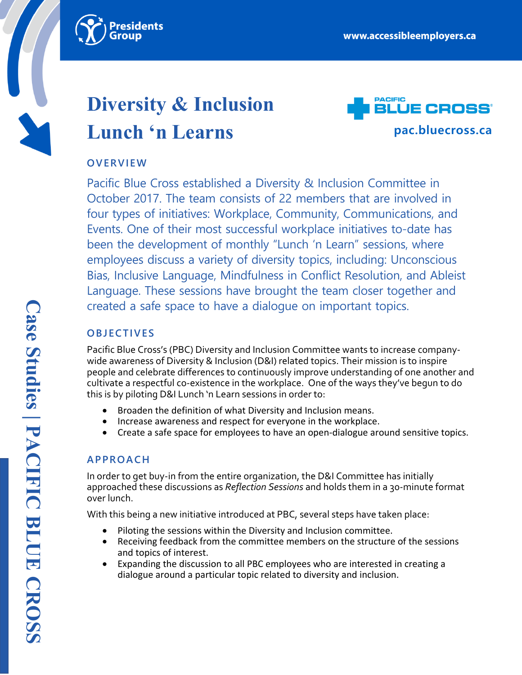

# **Diversity & Inclusion Lunch 'n Learns**



# **OVERVIEW**

Pacific Blue Cross established a Diversity & Inclusion Committee in October 2017. The team consists of 22 members that are involved in four types of initiatives: Workplace, Community, Communications, and Events. One of their most successful workplace initiatives to-date has been the development of monthly "Lunch 'n Learn" sessions, where employees discuss a variety of diversity topics, including: Unconscious Bias, Inclusive Language, Mindfulness in Conflict Resolution, and Ableist Language. These sessions have brought the team closer together and created a safe space to have a dialogue on important topics.

# **OBJECTIVES**

Pacific Blue Cross's (PBC) Diversity and Inclusion Committee wants to increase companywide awareness of Diversity & Inclusion (D&I) related topics. Their mission is to inspire people and celebrate differences to continuously improve understanding of one another and cultivate a respectful co-existence in the workplace. One of the ways they've begun to do this is by piloting D&I Lunch 'n Learn sessions in order to:

- Broaden the definition of what Diversity and Inclusion means.
- Increase awareness and respect for everyone in the workplace.
- Create a safe space for employees to have an open-dialogue around sensitive topics.

# **APPROACH**

In order to get buy-in from the entire organization, the D&I Committee has initially approached these discussions as *Reflection Sessions* and holds them in a 30-minute format over lunch.

With this being a new initiative introduced at PBC, several steps have taken place:

- Piloting the sessions within the Diversity and Inclusion committee.
- Receiving feedback from the committee members on the structure of the sessions and topics of interest.
- Expanding the discussion to all PBC employees who are interested in creating a dialogue around a particular topic related to diversity and inclusion.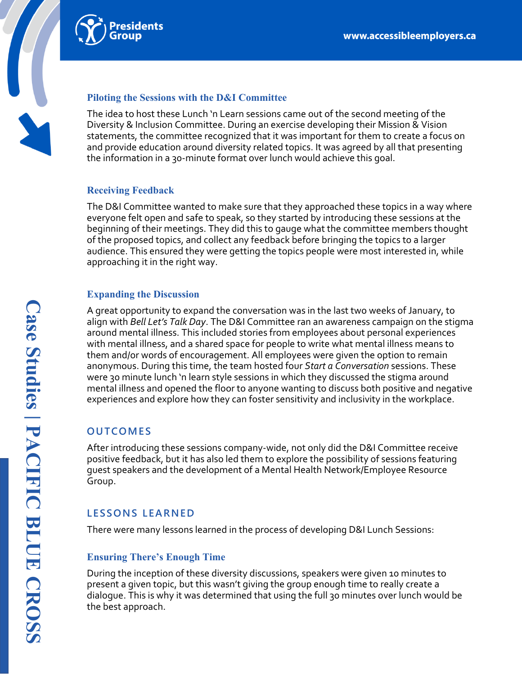

#### **Piloting the Sessions with the D&I Committee**

The idea to host these Lunch 'n Learn sessions came out of the second meeting of the Diversity & Inclusion Committee. During an exercise developing their Mission & Vision statements, the committee recognized that it was important for them to create a focus on and provide education around diversity related topics. It was agreed by all that presenting the information in a 30-minute format over lunch would achieve this goal.

### **Receiving Feedback**

The D&I Committee wanted to make sure that they approached these topics in a way where everyone felt open and safe to speak, so they started by introducing these sessions at the beginning of their meetings. They did this to gauge what the committee members thought of the proposed topics, and collect any feedback before bringing the topics to a larger audience. This ensured they were getting the topics people were most interested in, while approaching it in the right way.

#### **Expanding the Discussion**

A great opportunity to expand the conversation was in the last two weeks of January, to align with *Bell Let's Talk Day*. The D&I Committee ran an awareness campaign on the stigma around mental illness. This included stories from employees about personal experiences with mental illness, and a shared space for people to write what mental illness means to them and/or words of encouragement. All employees were given the option to remain anonymous. During this time, the team hosted four *Start a Conversation* sessions. These were 30 minute lunch 'n learn style sessions in which they discussed the stigma around mental illness and opened the floor to anyone wanting to discuss both positive and negative experiences and explore how they can foster sensitivity and inclusivity in the workplace.

# **OUTCOMES**

After introducing these sessions company-wide, not only did the D&I Committee receive positive feedback, but it has also led them to explore the possibility of sessions featuring guest speakers and the development of a Mental Health Network/Employee Resource Group.

# **LESSONS LEARNED**

There were many lessons learned in the process of developing D&I Lunch Sessions:

## **Ensuring There's Enough Time**

During the inception of these diversity discussions, speakers were given 10 minutes to present a given topic, but this wasn't giving the group enough time to really create a dialogue. This is why it was determined that using the full 30 minutes over lunch would be the best approach.